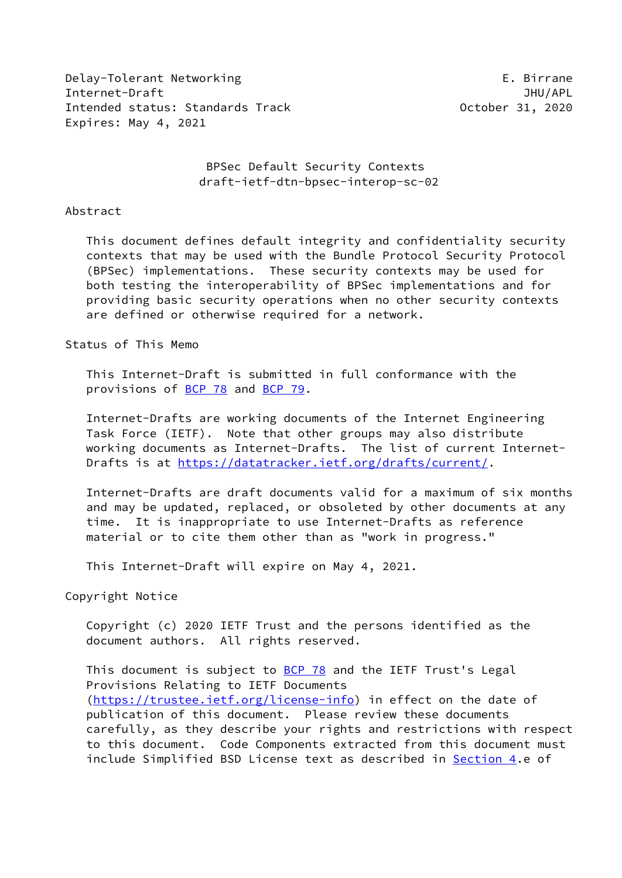Delay-Tolerant Networking extending the control of the Birrane Internet-Draft JHU/APL Intended status: Standards Track Channel Correspondent Correspondent 31, 2020 Expires: May 4, 2021

 BPSec Default Security Contexts draft-ietf-dtn-bpsec-interop-sc-02

#### Abstract

 This document defines default integrity and confidentiality security contexts that may be used with the Bundle Protocol Security Protocol (BPSec) implementations. These security contexts may be used for both testing the interoperability of BPSec implementations and for providing basic security operations when no other security contexts are defined or otherwise required for a network.

Status of This Memo

 This Internet-Draft is submitted in full conformance with the provisions of [BCP 78](https://datatracker.ietf.org/doc/pdf/bcp78) and [BCP 79](https://datatracker.ietf.org/doc/pdf/bcp79).

 Internet-Drafts are working documents of the Internet Engineering Task Force (IETF). Note that other groups may also distribute working documents as Internet-Drafts. The list of current Internet- Drafts is at<https://datatracker.ietf.org/drafts/current/>.

 Internet-Drafts are draft documents valid for a maximum of six months and may be updated, replaced, or obsoleted by other documents at any time. It is inappropriate to use Internet-Drafts as reference material or to cite them other than as "work in progress."

This Internet-Draft will expire on May 4, 2021.

Copyright Notice

 Copyright (c) 2020 IETF Trust and the persons identified as the document authors. All rights reserved.

This document is subject to **[BCP 78](https://datatracker.ietf.org/doc/pdf/bcp78)** and the IETF Trust's Legal Provisions Relating to IETF Documents [\(https://trustee.ietf.org/license-info](https://trustee.ietf.org/license-info)) in effect on the date of publication of this document. Please review these documents carefully, as they describe your rights and restrictions with respect to this document. Code Components extracted from this document must include Simplified BSD License text as described in [Section 4.](#page-11-0)e of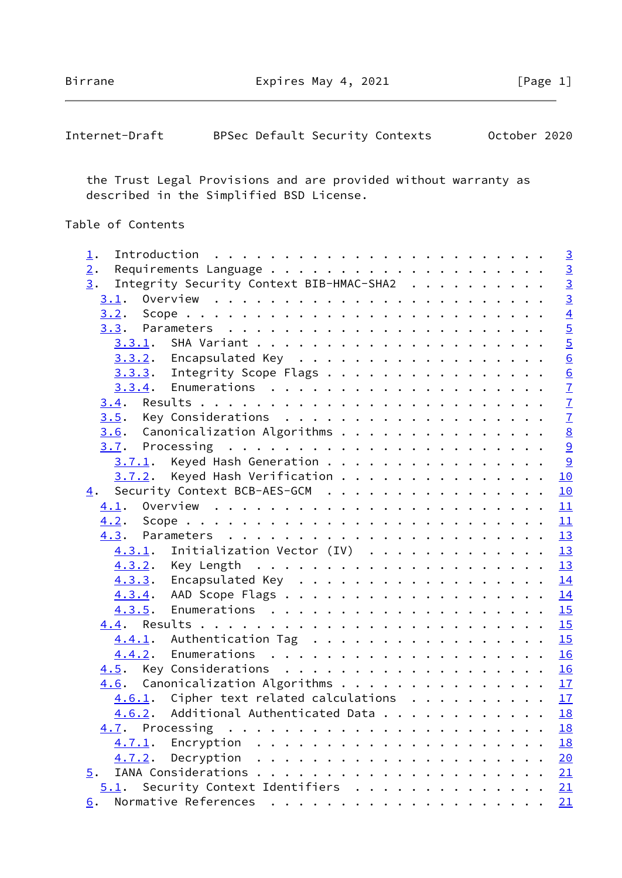Birrane **Expires May 4, 2021** [Page 1]

| Internet-Draft |  |  |  | BPSec Default Security Contexts | October 2020 |  |
|----------------|--|--|--|---------------------------------|--------------|--|
|----------------|--|--|--|---------------------------------|--------------|--|

 the Trust Legal Provisions and are provided without warranty as described in the Simplified BSD License.

# Table of Contents

| $\perp$ . |        |                                            |  |  |  |  |  |  |  |  |                 |
|-----------|--------|--------------------------------------------|--|--|--|--|--|--|--|--|-----------------|
| 2.        |        |                                            |  |  |  |  |  |  |  |  | $\frac{3}{3}$   |
| 3.        |        | Integrity Security Context BIB-HMAC-SHA2   |  |  |  |  |  |  |  |  |                 |
| 3.1.      |        |                                            |  |  |  |  |  |  |  |  | $\overline{3}$  |
|           |        |                                            |  |  |  |  |  |  |  |  | $\frac{4}{5}$   |
|           |        |                                            |  |  |  |  |  |  |  |  |                 |
|           | 3.3.1. |                                            |  |  |  |  |  |  |  |  | $\overline{5}$  |
|           |        | $3.3.2$ . Encapsulated Key                 |  |  |  |  |  |  |  |  | $\underline{6}$ |
|           |        | $3.3.3.$ Integrity Scope Flags             |  |  |  |  |  |  |  |  | $\underline{6}$ |
|           |        |                                            |  |  |  |  |  |  |  |  | $\frac{7}{7}$   |
|           |        |                                            |  |  |  |  |  |  |  |  |                 |
|           |        |                                            |  |  |  |  |  |  |  |  | $\overline{1}$  |
|           |        | 3.6. Canonicalization Algorithms           |  |  |  |  |  |  |  |  | $\underline{8}$ |
|           |        |                                            |  |  |  |  |  |  |  |  | 9               |
|           |        | $3.7.1$ . Keyed Hash Generation 9          |  |  |  |  |  |  |  |  |                 |
|           |        | $3.7.2$ . Keyed Hash Verification          |  |  |  |  |  |  |  |  | 10              |
| 4.        |        | Security Context BCB-AES-GCM               |  |  |  |  |  |  |  |  | 10              |
|           |        |                                            |  |  |  |  |  |  |  |  | 11              |
|           |        |                                            |  |  |  |  |  |  |  |  | 11              |
|           |        |                                            |  |  |  |  |  |  |  |  | 13              |
|           |        | 4.3.1. Initialization Vector (IV) 13       |  |  |  |  |  |  |  |  |                 |
|           |        |                                            |  |  |  |  |  |  |  |  | 13              |
|           |        | 4.3.3. Encapsulated Key                    |  |  |  |  |  |  |  |  | 14              |
|           |        |                                            |  |  |  |  |  |  |  |  | 14              |
|           |        |                                            |  |  |  |  |  |  |  |  | 15              |
|           |        |                                            |  |  |  |  |  |  |  |  |                 |
|           |        | 4.4.1. Authentication Tag 15               |  |  |  |  |  |  |  |  |                 |
|           |        |                                            |  |  |  |  |  |  |  |  | 16              |
|           |        | 4.5. Key Considerations 16                 |  |  |  |  |  |  |  |  |                 |
|           |        | 4.6. Canonicalization Algorithms 17        |  |  |  |  |  |  |  |  |                 |
|           |        | 4.6.1. Cipher text related calculations 17 |  |  |  |  |  |  |  |  |                 |
|           |        | 4.6.2. Additional Authenticated Data 18    |  |  |  |  |  |  |  |  |                 |
|           |        |                                            |  |  |  |  |  |  |  |  | 18              |
|           | 4.7.1. |                                            |  |  |  |  |  |  |  |  | 18              |
|           | 4.7.2. |                                            |  |  |  |  |  |  |  |  | 20              |
| 5.        |        |                                            |  |  |  |  |  |  |  |  | 21              |
| 5.1.      |        | Security Context Identifiers               |  |  |  |  |  |  |  |  | 21              |
| 6.        |        |                                            |  |  |  |  |  |  |  |  | 21              |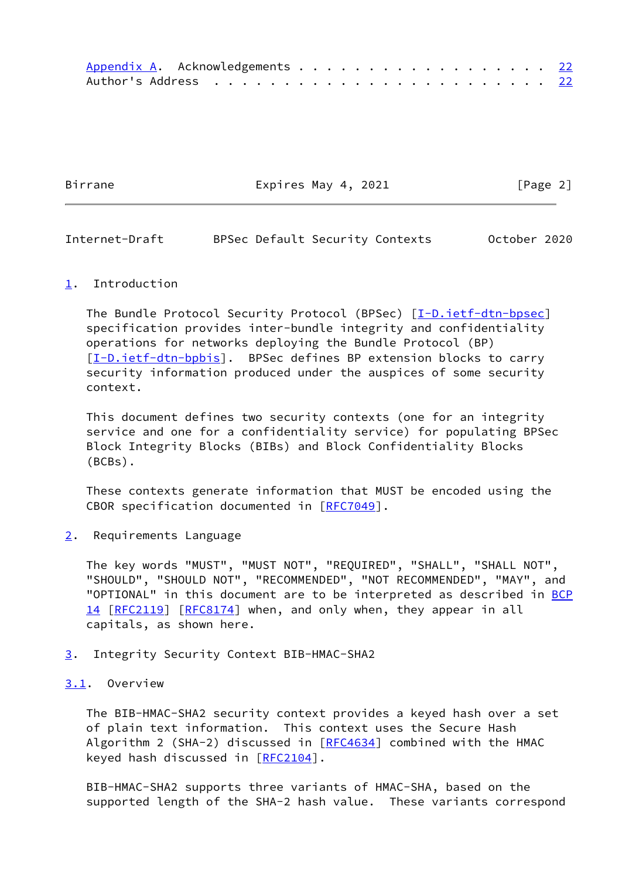| Appendix A. Acknowledgements 22 |  |  |  |  |  |  |  |  |  |  |  |  |  |  |
|---------------------------------|--|--|--|--|--|--|--|--|--|--|--|--|--|--|
|                                 |  |  |  |  |  |  |  |  |  |  |  |  |  |  |

Birrane Expires May 4, 2021 [Page 2]

<span id="page-2-1"></span>Internet-Draft BPSec Default Security Contexts October 2020

### <span id="page-2-0"></span>[1](#page-2-0). Introduction

The Bundle Protocol Security Protocol (BPSec) [[I-D.ietf-dtn-bpsec\]](#page-23-3) specification provides inter-bundle integrity and confidentiality operations for networks deploying the Bundle Protocol (BP) [\[I-D.ietf-dtn-bpbis\]](#page-23-4). BPSec defines BP extension blocks to carry security information produced under the auspices of some security context.

 This document defines two security contexts (one for an integrity service and one for a confidentiality service) for populating BPSec Block Integrity Blocks (BIBs) and Block Confidentiality Blocks (BCBs).

 These contexts generate information that MUST be encoded using the CBOR specification documented in [\[RFC7049](https://datatracker.ietf.org/doc/pdf/rfc7049)].

<span id="page-2-2"></span>[2](#page-2-2). Requirements Language

 The key words "MUST", "MUST NOT", "REQUIRED", "SHALL", "SHALL NOT", "SHOULD", "SHOULD NOT", "RECOMMENDED", "NOT RECOMMENDED", "MAY", and "OPTIONAL" in this document are to be interpreted as described in [BCP](https://datatracker.ietf.org/doc/pdf/bcp14) [14](https://datatracker.ietf.org/doc/pdf/bcp14) [[RFC2119\]](https://datatracker.ietf.org/doc/pdf/rfc2119) [\[RFC8174](https://datatracker.ietf.org/doc/pdf/rfc8174)] when, and only when, they appear in all capitals, as shown here.

## <span id="page-2-3"></span>[3](#page-2-3). Integrity Security Context BIB-HMAC-SHA2

## <span id="page-2-4"></span>[3.1](#page-2-4). Overview

 The BIB-HMAC-SHA2 security context provides a keyed hash over a set of plain text information. This context uses the Secure Hash Algorithm 2 (SHA-2) discussed in  $[REC4634]$  combined with the HMAC keyed hash discussed in [\[RFC2104](https://datatracker.ietf.org/doc/pdf/rfc2104)].

 BIB-HMAC-SHA2 supports three variants of HMAC-SHA, based on the supported length of the SHA-2 hash value. These variants correspond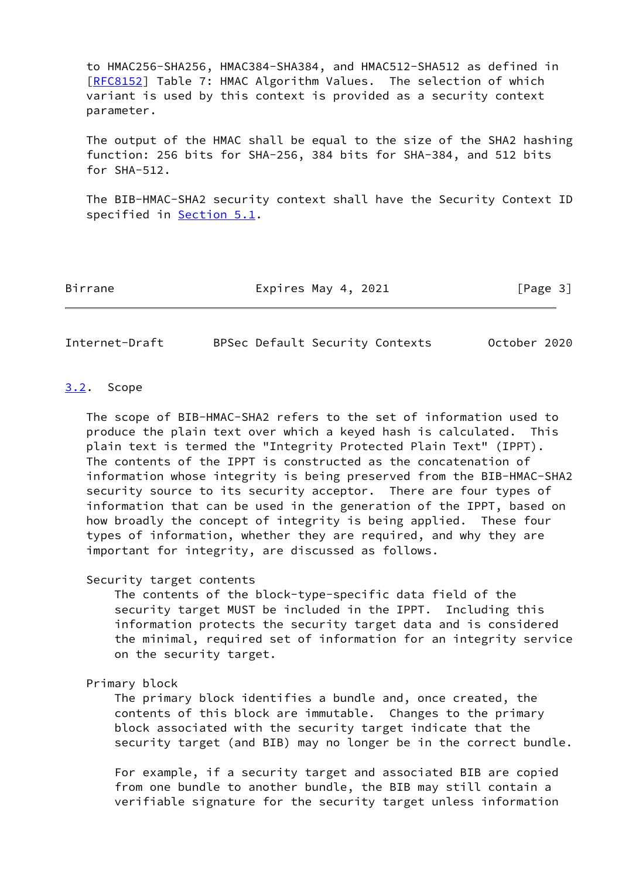to HMAC256-SHA256, HMAC384-SHA384, and HMAC512-SHA512 as defined in [\[RFC8152](https://datatracker.ietf.org/doc/pdf/rfc8152)] Table 7: HMAC Algorithm Values. The selection of which variant is used by this context is provided as a security context parameter.

 The output of the HMAC shall be equal to the size of the SHA2 hashing function: 256 bits for SHA-256, 384 bits for SHA-384, and 512 bits for SHA-512.

 The BIB-HMAC-SHA2 security context shall have the Security Context ID specified in **Section 5.1**.

Birrane Expires May 4, 2021 [Page 3]

<span id="page-3-1"></span>Internet-Draft BPSec Default Security Contexts October 2020

#### <span id="page-3-0"></span>[3.2](#page-3-0). Scope

 The scope of BIB-HMAC-SHA2 refers to the set of information used to produce the plain text over which a keyed hash is calculated. This plain text is termed the "Integrity Protected Plain Text" (IPPT). The contents of the IPPT is constructed as the concatenation of information whose integrity is being preserved from the BIB-HMAC-SHA2 security source to its security acceptor. There are four types of information that can be used in the generation of the IPPT, based on how broadly the concept of integrity is being applied. These four types of information, whether they are required, and why they are important for integrity, are discussed as follows.

### Security target contents

 The contents of the block-type-specific data field of the security target MUST be included in the IPPT. Including this information protects the security target data and is considered the minimal, required set of information for an integrity service on the security target.

## Primary block

 The primary block identifies a bundle and, once created, the contents of this block are immutable. Changes to the primary block associated with the security target indicate that the security target (and BIB) may no longer be in the correct bundle.

 For example, if a security target and associated BIB are copied from one bundle to another bundle, the BIB may still contain a verifiable signature for the security target unless information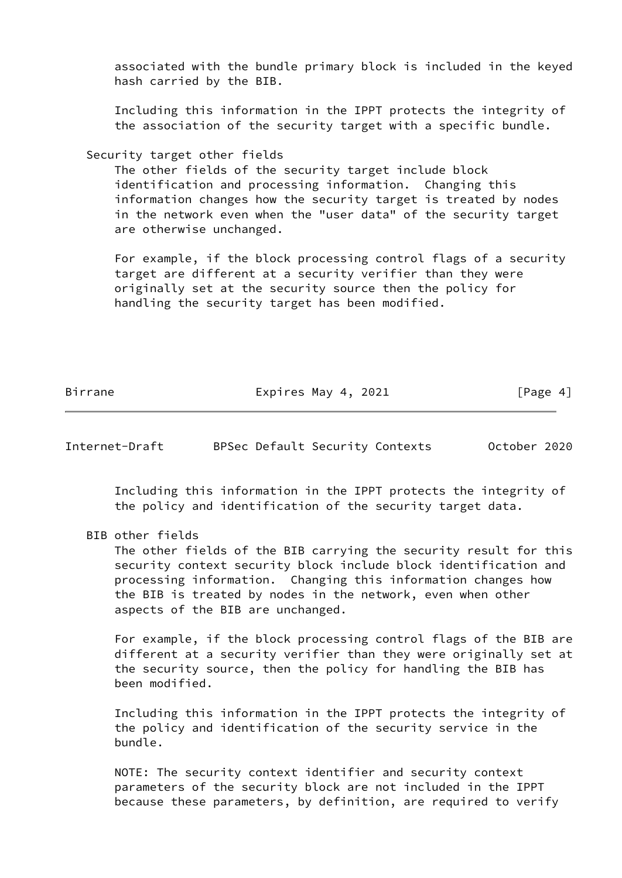associated with the bundle primary block is included in the keyed hash carried by the BIB.

 Including this information in the IPPT protects the integrity of the association of the security target with a specific bundle.

## Security target other fields

 The other fields of the security target include block identification and processing information. Changing this information changes how the security target is treated by nodes in the network even when the "user data" of the security target are otherwise unchanged.

 For example, if the block processing control flags of a security target are different at a security verifier than they were originally set at the security source then the policy for handling the security target has been modified.

Birrane **Expires May 4, 2021** [Page 4]

<span id="page-4-0"></span>Internet-Draft BPSec Default Security Contexts October 2020

 Including this information in the IPPT protects the integrity of the policy and identification of the security target data.

BIB other fields

 The other fields of the BIB carrying the security result for this security context security block include block identification and processing information. Changing this information changes how the BIB is treated by nodes in the network, even when other aspects of the BIB are unchanged.

 For example, if the block processing control flags of the BIB are different at a security verifier than they were originally set at the security source, then the policy for handling the BIB has been modified.

 Including this information in the IPPT protects the integrity of the policy and identification of the security service in the bundle.

 NOTE: The security context identifier and security context parameters of the security block are not included in the IPPT because these parameters, by definition, are required to verify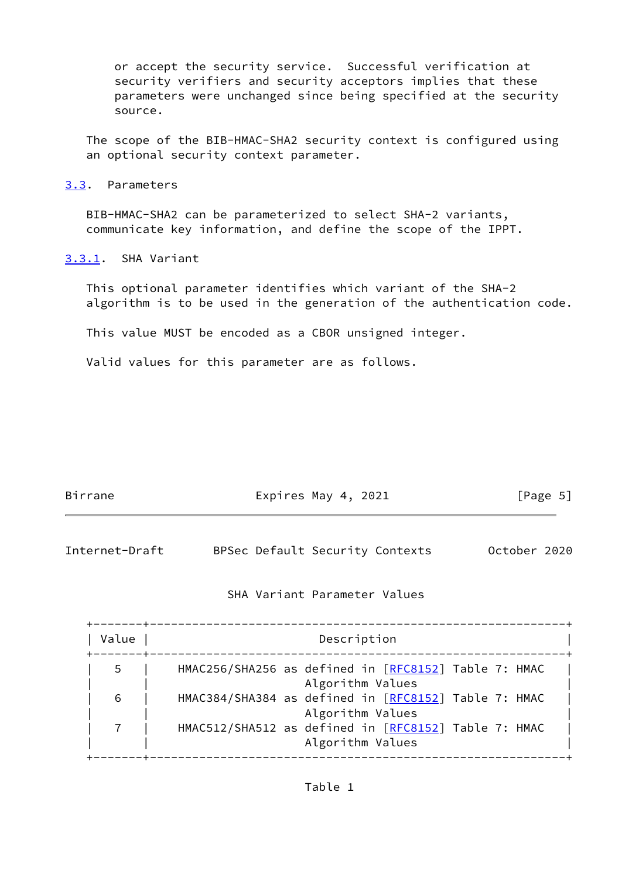or accept the security service. Successful verification at security verifiers and security acceptors implies that these parameters were unchanged since being specified at the security source.

 The scope of the BIB-HMAC-SHA2 security context is configured using an optional security context parameter.

<span id="page-5-0"></span>[3.3](#page-5-0). Parameters

 BIB-HMAC-SHA2 can be parameterized to select SHA-2 variants, communicate key information, and define the scope of the IPPT.

<span id="page-5-1"></span>[3.3.1](#page-5-1). SHA Variant

 This optional parameter identifies which variant of the SHA-2 algorithm is to be used in the generation of the authentication code.

This value MUST be encoded as a CBOR unsigned integer.

Valid values for this parameter are as follows.

| Birrane | Expires May 4, 2021 | [Page 5] |
|---------|---------------------|----------|
|         |                     |          |

<span id="page-5-2"></span>

| Internet-Draft |  | BPSec Default Security Contexts | October 2020 |  |
|----------------|--|---------------------------------|--------------|--|
|----------------|--|---------------------------------|--------------|--|

## SHA Variant Parameter Values

| Value | Description                                                              |
|-------|--------------------------------------------------------------------------|
| .5    | HMAC256/SHA256 as defined in [RFC8152] Table 7: HMAC<br>Algorithm Values |
| 6     | HMAC384/SHA384 as defined in [RFC8152] Table 7: HMAC<br>Algorithm Values |
|       | HMAC512/SHA512 as defined in [RFC8152] Table 7: HMAC<br>Algorithm Values |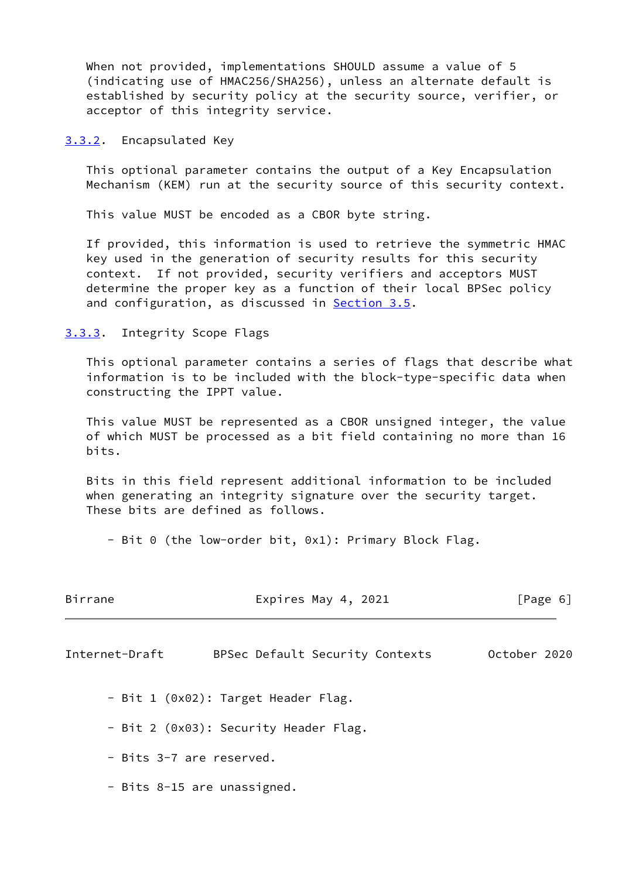When not provided, implementations SHOULD assume a value of 5 (indicating use of HMAC256/SHA256), unless an alternate default is established by security policy at the security source, verifier, or acceptor of this integrity service.

<span id="page-6-0"></span>[3.3.2](#page-6-0). Encapsulated Key

 This optional parameter contains the output of a Key Encapsulation Mechanism (KEM) run at the security source of this security context.

This value MUST be encoded as a CBOR byte string.

 If provided, this information is used to retrieve the symmetric HMAC key used in the generation of security results for this security context. If not provided, security verifiers and acceptors MUST determine the proper key as a function of their local BPSec policy and configuration, as discussed in [Section 3.5](#page-7-2).

## <span id="page-6-1"></span>[3.3.3](#page-6-1). Integrity Scope Flags

 This optional parameter contains a series of flags that describe what information is to be included with the block-type-specific data when constructing the IPPT value.

 This value MUST be represented as a CBOR unsigned integer, the value of which MUST be processed as a bit field containing no more than 16 bits.

 Bits in this field represent additional information to be included when generating an integrity signature over the security target. These bits are defined as follows.

- Bit 0 (the low-order bit, 0x1): Primary Block Flag.

<span id="page-6-2"></span>

| Birrane        | Expires May 4, 2021                   | [Page 6]     |
|----------------|---------------------------------------|--------------|
| Internet-Draft | BPSec Default Security Contexts       | October 2020 |
|                | - Bit 1 (0x02): Target Header Flag.   |              |
|                | - Bit 2 (0x03): Security Header Flag. |              |
|                | - Bits 3-7 are reserved.              |              |
|                | - Bits 8-15 are unassigned.           |              |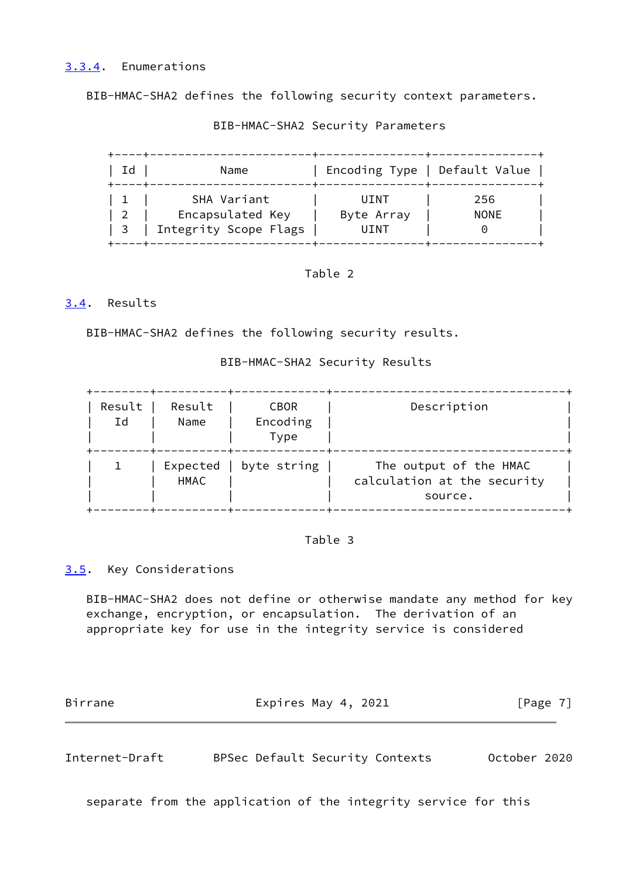<span id="page-7-0"></span>BIB-HMAC-SHA2 defines the following security context parameters.

| Id                      | Name                  |            | Encoding Type   Default Value |
|-------------------------|-----------------------|------------|-------------------------------|
|                         | SHA Variant           | UINT       | 256                           |
| $\overline{2}$          | Encapsulated Key      | Byte Array | <b>NONE</b>                   |
| $\overline{\mathbf{3}}$ | Integrity Scope Flags | UINT       |                               |

BIB-HMAC-SHA2 Security Parameters

## Table 2

## <span id="page-7-1"></span>[3.4](#page-7-1). Results

BIB-HMAC-SHA2 defines the following security results.

## BIB-HMAC-SHA2 Security Results

| Result<br>Ιd | Result<br>Name   | <b>CBOR</b><br>Encoding<br>Type | Description                                                      |
|--------------|------------------|---------------------------------|------------------------------------------------------------------|
|              | Expected<br>HMAC | byte string                     | The output of the HMAC<br>calculation at the security<br>source. |

## Table 3

## <span id="page-7-2"></span>[3.5](#page-7-2). Key Considerations

 BIB-HMAC-SHA2 does not define or otherwise mandate any method for key exchange, encryption, or encapsulation. The derivation of an appropriate key for use in the integrity service is considered

| Birrane | Expires May 4, 2021 | [Page 7] |
|---------|---------------------|----------|
|         |                     |          |

<span id="page-7-3"></span>Internet-Draft BPSec Default Security Contexts October 2020

separate from the application of the integrity service for this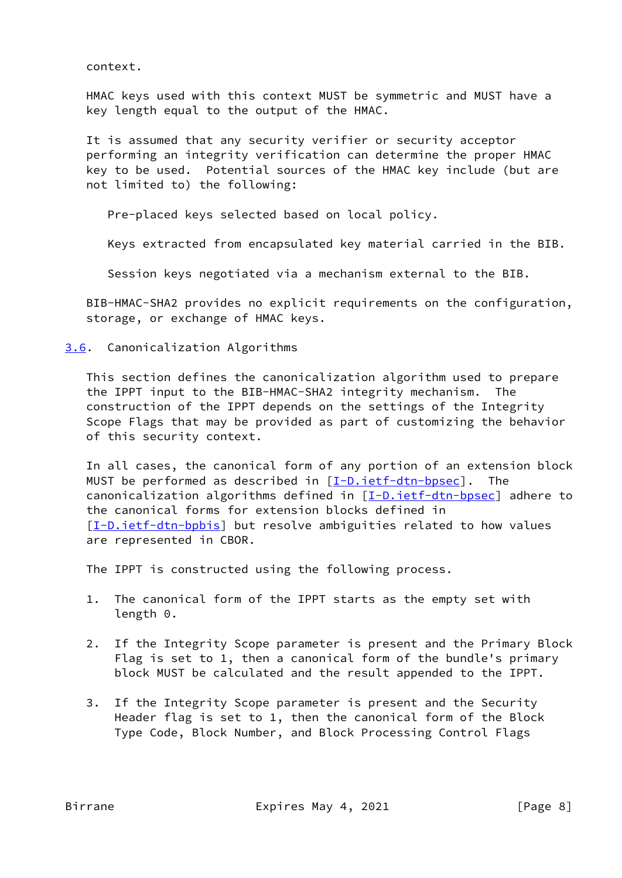context.

 HMAC keys used with this context MUST be symmetric and MUST have a key length equal to the output of the HMAC.

 It is assumed that any security verifier or security acceptor performing an integrity verification can determine the proper HMAC key to be used. Potential sources of the HMAC key include (but are not limited to) the following:

Pre-placed keys selected based on local policy.

Keys extracted from encapsulated key material carried in the BIB.

Session keys negotiated via a mechanism external to the BIB.

 BIB-HMAC-SHA2 provides no explicit requirements on the configuration, storage, or exchange of HMAC keys.

<span id="page-8-0"></span>[3.6](#page-8-0). Canonicalization Algorithms

 This section defines the canonicalization algorithm used to prepare the IPPT input to the BIB-HMAC-SHA2 integrity mechanism. The construction of the IPPT depends on the settings of the Integrity Scope Flags that may be provided as part of customizing the behavior of this security context.

 In all cases, the canonical form of any portion of an extension block MUST be performed as described in  $[\underline{I-D.ietf-dtn-bpsec}]$ . The canonicalization algorithms defined in [\[I-D.ietf-dtn-bpsec](#page-23-3)] adhere to the canonical forms for extension blocks defined in [\[I-D.ietf-dtn-bpbis\]](#page-23-4) but resolve ambiguities related to how values are represented in CBOR.

The IPPT is constructed using the following process.

- 1. The canonical form of the IPPT starts as the empty set with length 0.
- 2. If the Integrity Scope parameter is present and the Primary Block Flag is set to 1, then a canonical form of the bundle's primary block MUST be calculated and the result appended to the IPPT.
- 3. If the Integrity Scope parameter is present and the Security Header flag is set to 1, then the canonical form of the Block Type Code, Block Number, and Block Processing Control Flags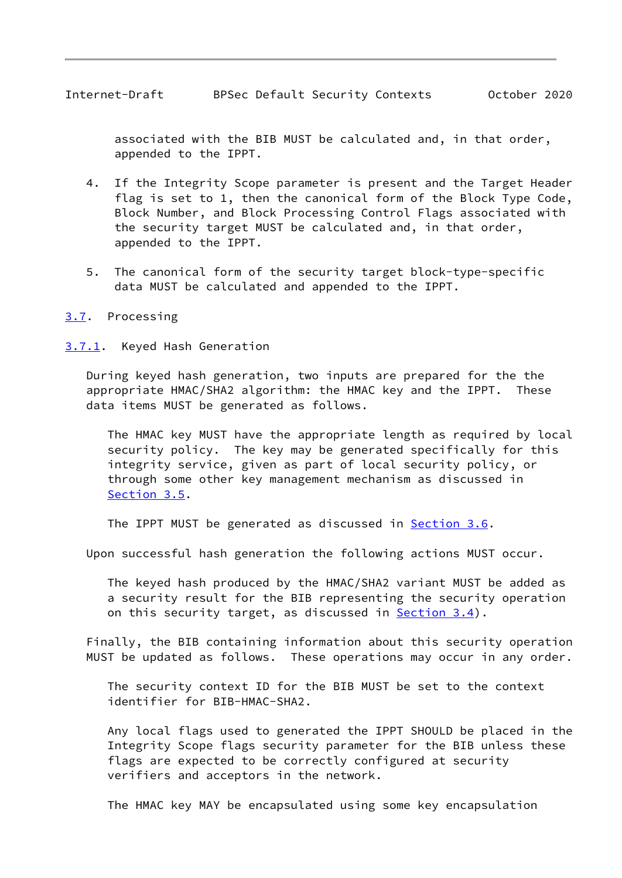<span id="page-9-1"></span> associated with the BIB MUST be calculated and, in that order, appended to the IPPT.

- 4. If the Integrity Scope parameter is present and the Target Header flag is set to 1, then the canonical form of the Block Type Code, Block Number, and Block Processing Control Flags associated with the security target MUST be calculated and, in that order, appended to the IPPT.
- 5. The canonical form of the security target block-type-specific data MUST be calculated and appended to the IPPT.
- <span id="page-9-0"></span>[3.7](#page-9-0). Processing
- <span id="page-9-2"></span>[3.7.1](#page-9-2). Keyed Hash Generation

 During keyed hash generation, two inputs are prepared for the the appropriate HMAC/SHA2 algorithm: the HMAC key and the IPPT. These data items MUST be generated as follows.

 The HMAC key MUST have the appropriate length as required by local security policy. The key may be generated specifically for this integrity service, given as part of local security policy, or through some other key management mechanism as discussed in [Section 3.5](#page-7-2).

The IPPT MUST be generated as discussed in [Section 3.6](#page-8-0).

Upon successful hash generation the following actions MUST occur.

 The keyed hash produced by the HMAC/SHA2 variant MUST be added as a security result for the BIB representing the security operation on this security target, as discussed in **Section 3.4**).

 Finally, the BIB containing information about this security operation MUST be updated as follows. These operations may occur in any order.

 The security context ID for the BIB MUST be set to the context identifier for BIB-HMAC-SHA2.

 Any local flags used to generated the IPPT SHOULD be placed in the Integrity Scope flags security parameter for the BIB unless these flags are expected to be correctly configured at security verifiers and acceptors in the network.

The HMAC key MAY be encapsulated using some key encapsulation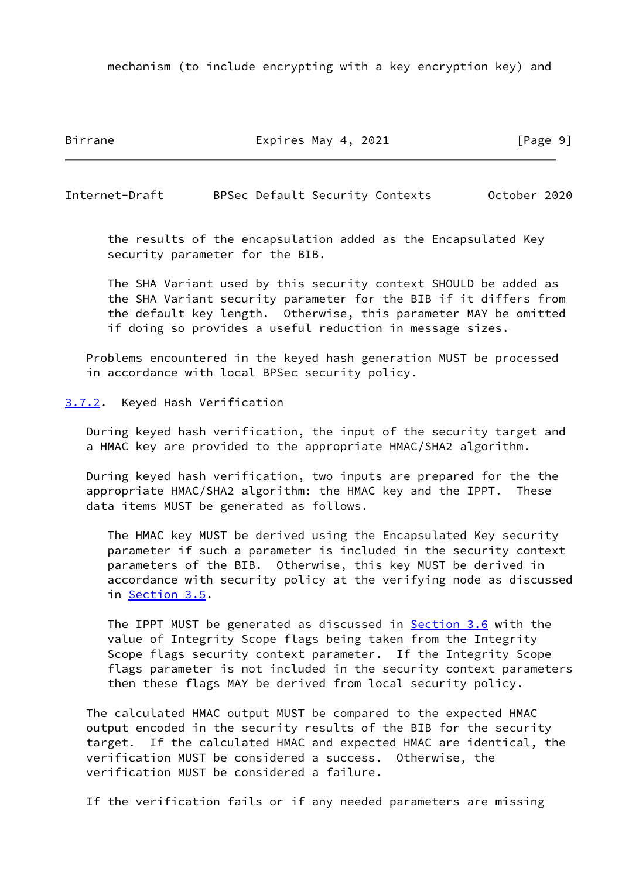mechanism (to include encrypting with a key encryption key) and

Birrane Expires May 4, 2021 [Page 9]

<span id="page-10-1"></span>Internet-Draft BPSec Default Security Contexts October 2020

 the results of the encapsulation added as the Encapsulated Key security parameter for the BIB.

 The SHA Variant used by this security context SHOULD be added as the SHA Variant security parameter for the BIB if it differs from the default key length. Otherwise, this parameter MAY be omitted if doing so provides a useful reduction in message sizes.

 Problems encountered in the keyed hash generation MUST be processed in accordance with local BPSec security policy.

<span id="page-10-0"></span>[3.7.2](#page-10-0). Keyed Hash Verification

 During keyed hash verification, the input of the security target and a HMAC key are provided to the appropriate HMAC/SHA2 algorithm.

 During keyed hash verification, two inputs are prepared for the the appropriate HMAC/SHA2 algorithm: the HMAC key and the IPPT. These data items MUST be generated as follows.

 The HMAC key MUST be derived using the Encapsulated Key security parameter if such a parameter is included in the security context parameters of the BIB. Otherwise, this key MUST be derived in accordance with security policy at the verifying node as discussed in [Section 3.5](#page-7-2).

The IPPT MUST be generated as discussed in **Section 3.6** with the value of Integrity Scope flags being taken from the Integrity Scope flags security context parameter. If the Integrity Scope flags parameter is not included in the security context parameters then these flags MAY be derived from local security policy.

 The calculated HMAC output MUST be compared to the expected HMAC output encoded in the security results of the BIB for the security target. If the calculated HMAC and expected HMAC are identical, the verification MUST be considered a success. Otherwise, the verification MUST be considered a failure.

If the verification fails or if any needed parameters are missing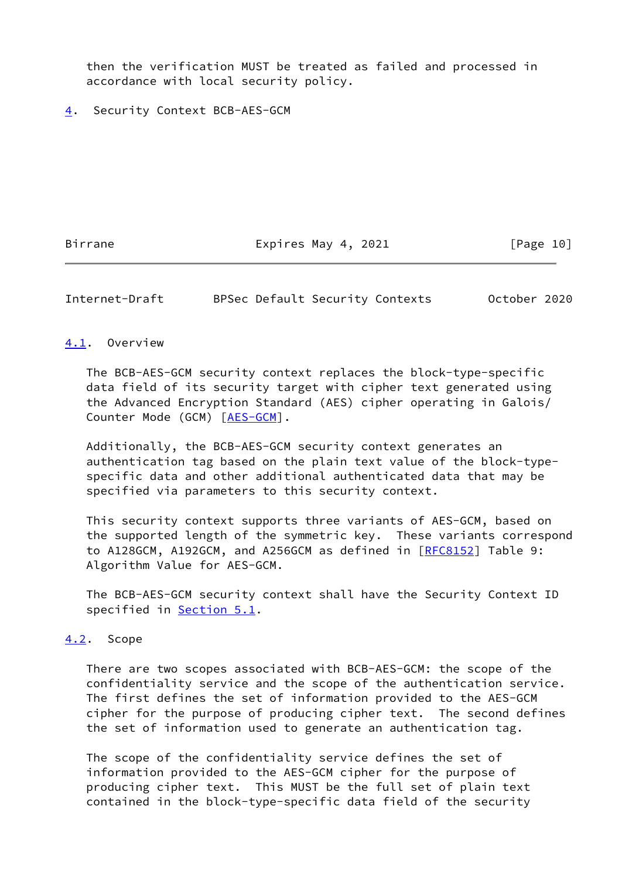then the verification MUST be treated as failed and processed in accordance with local security policy.

<span id="page-11-0"></span>[4](#page-11-0). Security Context BCB-AES-GCM

Birrane Expires May 4, 2021 [Page 10]

<span id="page-11-2"></span>Internet-Draft BPSec Default Security Contexts October 2020

### <span id="page-11-1"></span>[4.1](#page-11-1). Overview

 The BCB-AES-GCM security context replaces the block-type-specific data field of its security target with cipher text generated using the Advanced Encryption Standard (AES) cipher operating in Galois/ Counter Mode (GCM) [[AES-GCM\]](#page-23-5).

 Additionally, the BCB-AES-GCM security context generates an authentication tag based on the plain text value of the block-type specific data and other additional authenticated data that may be specified via parameters to this security context.

 This security context supports three variants of AES-GCM, based on the supported length of the symmetric key. These variants correspond to A128GCM, A192GCM, and A256GCM as defined in [\[RFC8152](https://datatracker.ietf.org/doc/pdf/rfc8152)] Table 9: Algorithm Value for AES-GCM.

 The BCB-AES-GCM security context shall have the Security Context ID specified in **Section 5.1**.

#### <span id="page-11-3"></span>[4.2](#page-11-3). Scope

 There are two scopes associated with BCB-AES-GCM: the scope of the confidentiality service and the scope of the authentication service. The first defines the set of information provided to the AES-GCM cipher for the purpose of producing cipher text. The second defines the set of information used to generate an authentication tag.

 The scope of the confidentiality service defines the set of information provided to the AES-GCM cipher for the purpose of producing cipher text. This MUST be the full set of plain text contained in the block-type-specific data field of the security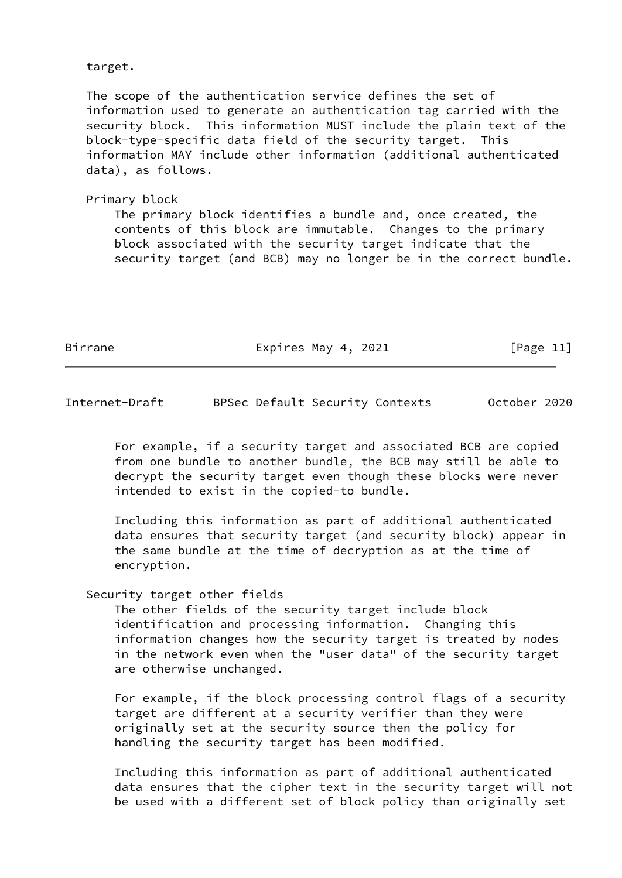target.

 The scope of the authentication service defines the set of information used to generate an authentication tag carried with the security block. This information MUST include the plain text of the block-type-specific data field of the security target. This information MAY include other information (additional authenticated data), as follows.

 Primary block The primary block identifies a bundle and, once created, the contents of this block are immutable. Changes to the primary block associated with the security target indicate that the security target (and BCB) may no longer be in the correct bundle.

Birrane Expires May 4, 2021 [Page 11]

Internet-Draft BPSec Default Security Contexts October 2020

 For example, if a security target and associated BCB are copied from one bundle to another bundle, the BCB may still be able to decrypt the security target even though these blocks were never intended to exist in the copied-to bundle.

 Including this information as part of additional authenticated data ensures that security target (and security block) appear in the same bundle at the time of decryption as at the time of encryption.

## Security target other fields

 The other fields of the security target include block identification and processing information. Changing this information changes how the security target is treated by nodes in the network even when the "user data" of the security target are otherwise unchanged.

 For example, if the block processing control flags of a security target are different at a security verifier than they were originally set at the security source then the policy for handling the security target has been modified.

 Including this information as part of additional authenticated data ensures that the cipher text in the security target will not be used with a different set of block policy than originally set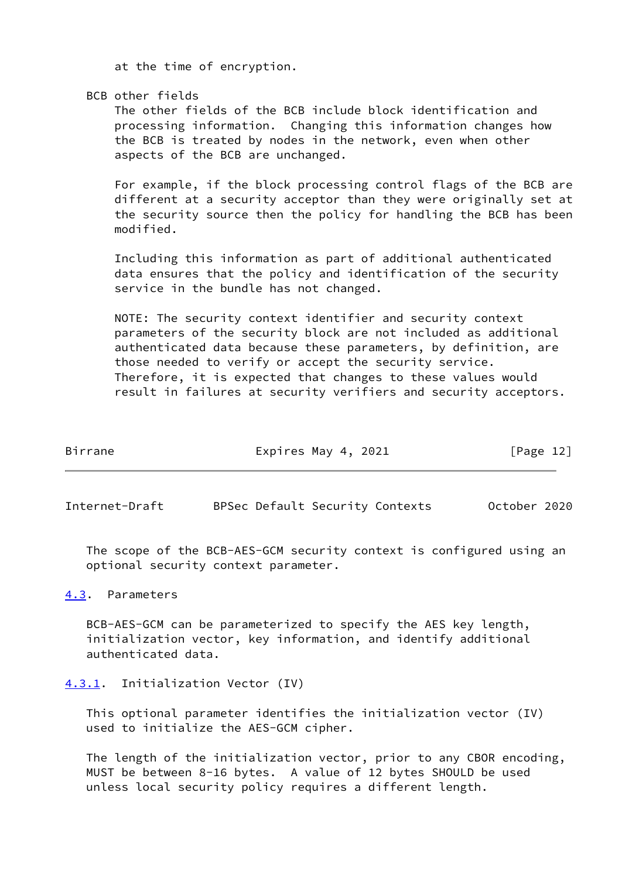at the time of encryption.

BCB other fields

 The other fields of the BCB include block identification and processing information. Changing this information changes how the BCB is treated by nodes in the network, even when other aspects of the BCB are unchanged.

 For example, if the block processing control flags of the BCB are different at a security acceptor than they were originally set at the security source then the policy for handling the BCB has been modified.

 Including this information as part of additional authenticated data ensures that the policy and identification of the security service in the bundle has not changed.

 NOTE: The security context identifier and security context parameters of the security block are not included as additional authenticated data because these parameters, by definition, are those needed to verify or accept the security service. Therefore, it is expected that changes to these values would result in failures at security verifiers and security acceptors.

| Birrane | Expires May 4, 2021 | [Page 12] |  |
|---------|---------------------|-----------|--|
|         |                     |           |  |

<span id="page-13-1"></span>Internet-Draft BPSec Default Security Contexts October 2020

 The scope of the BCB-AES-GCM security context is configured using an optional security context parameter.

<span id="page-13-0"></span>[4.3](#page-13-0). Parameters

 BCB-AES-GCM can be parameterized to specify the AES key length, initialization vector, key information, and identify additional authenticated data.

<span id="page-13-2"></span>[4.3.1](#page-13-2). Initialization Vector (IV)

 This optional parameter identifies the initialization vector (IV) used to initialize the AES-GCM cipher.

 The length of the initialization vector, prior to any CBOR encoding, MUST be between 8-16 bytes. A value of 12 bytes SHOULD be used unless local security policy requires a different length.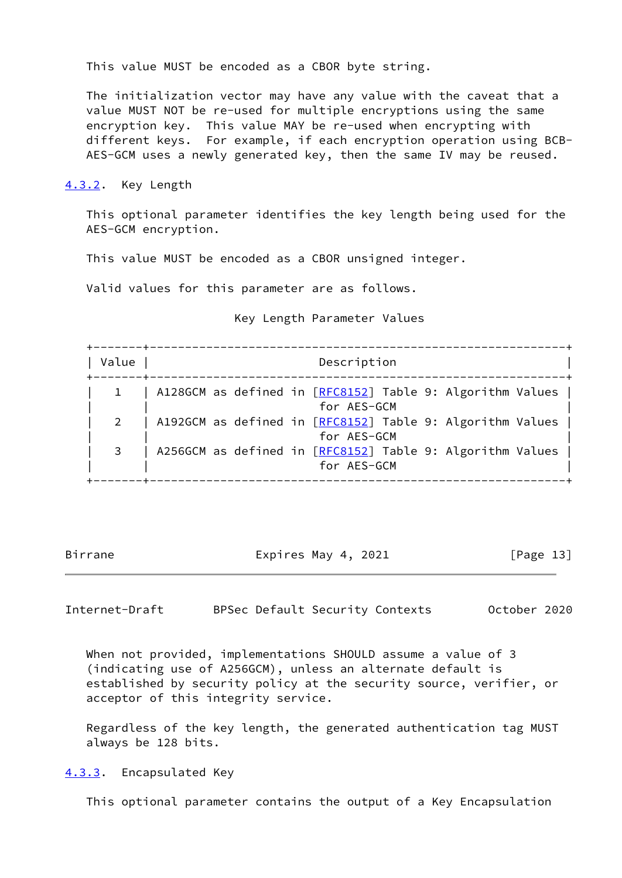This value MUST be encoded as a CBOR byte string.

 The initialization vector may have any value with the caveat that a value MUST NOT be re-used for multiple encryptions using the same encryption key. This value MAY be re-used when encrypting with different keys. For example, if each encryption operation using BCB- AES-GCM uses a newly generated key, then the same IV may be reused.

<span id="page-14-0"></span>[4.3.2](#page-14-0). Key Length

 This optional parameter identifies the key length being used for the AES-GCM encryption.

This value MUST be encoded as a CBOR unsigned integer.

Valid values for this parameter are as follows.

Key Length Parameter Values

 +-------+-----------------------------------------------------------+ | Value | Description +-------+-----------------------------------------------------------+ 1 | A128GCM as defined in [\[RFC8152](https://datatracker.ietf.org/doc/pdf/rfc8152)] Table 9: Algorithm Values | | | for AES-GCM | | 2 | A192GCM as defined in [\[RFC8152](https://datatracker.ietf.org/doc/pdf/rfc8152)] Table 9: Algorithm Values | | | for AES-GCM | | 3 | A256GCM as defined in [\[RFC8152](https://datatracker.ietf.org/doc/pdf/rfc8152)] Table 9: Algorithm Values | for AES-GCM +-------+-----------------------------------------------------------+

Birrane Expires May 4, 2021 [Page 13]

<span id="page-14-2"></span>Internet-Draft BPSec Default Security Contexts October 2020

 When not provided, implementations SHOULD assume a value of 3 (indicating use of A256GCM), unless an alternate default is established by security policy at the security source, verifier, or acceptor of this integrity service.

 Regardless of the key length, the generated authentication tag MUST always be 128 bits.

<span id="page-14-1"></span>[4.3.3](#page-14-1). Encapsulated Key

This optional parameter contains the output of a Key Encapsulation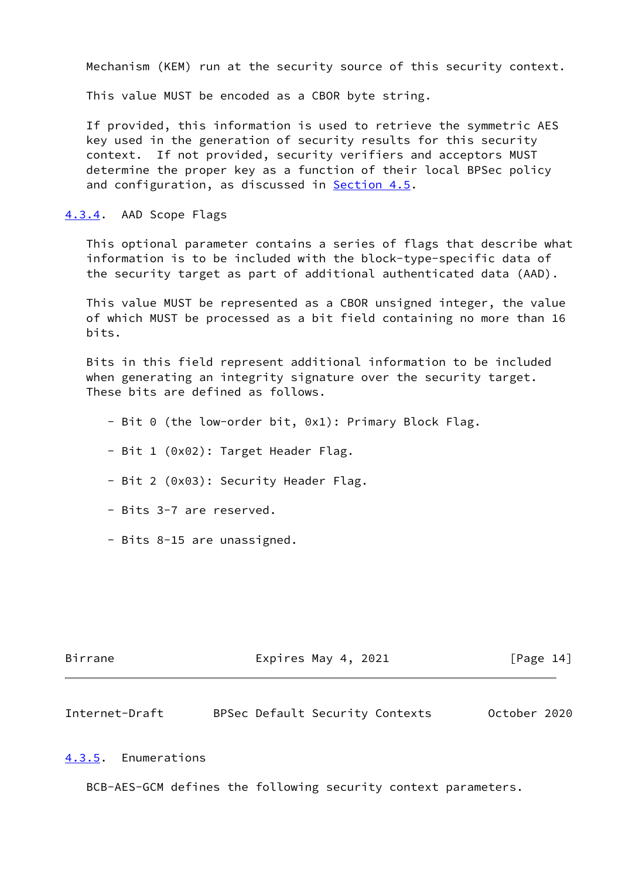Mechanism (KEM) run at the security source of this security context.

This value MUST be encoded as a CBOR byte string.

 If provided, this information is used to retrieve the symmetric AES key used in the generation of security results for this security context. If not provided, security verifiers and acceptors MUST determine the proper key as a function of their local BPSec policy and configuration, as discussed in [Section 4.5](#page-17-2).

<span id="page-15-0"></span>[4.3.4](#page-15-0). AAD Scope Flags

 This optional parameter contains a series of flags that describe what information is to be included with the block-type-specific data of the security target as part of additional authenticated data (AAD).

 This value MUST be represented as a CBOR unsigned integer, the value of which MUST be processed as a bit field containing no more than 16 bits.

 Bits in this field represent additional information to be included when generating an integrity signature over the security target. These bits are defined as follows.

- Bit 0 (the low-order bit, 0x1): Primary Block Flag.
- Bit 1 (0x02): Target Header Flag.
- Bit 2 (0x03): Security Header Flag.
- Bits 3-7 are reserved.
- Bits 8-15 are unassigned.

| Birrane | Expires May 4, 2021 | [Page 14] |
|---------|---------------------|-----------|
|         |                     |           |

<span id="page-15-2"></span>Internet-Draft BPSec Default Security Contexts October 2020

#### <span id="page-15-1"></span>[4.3.5](#page-15-1). Enumerations

BCB-AES-GCM defines the following security context parameters.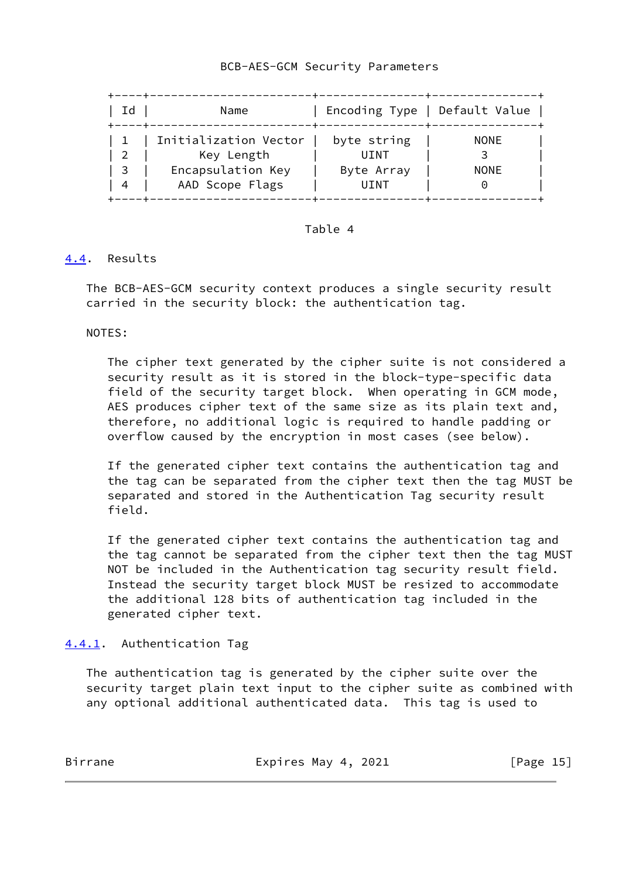## BCB-AES-GCM Security Parameters

| Id             | Name                  | Encoding Type   Default Value |             |
|----------------|-----------------------|-------------------------------|-------------|
|                | Initialization Vector | byte string                   | <b>NONE</b> |
| $\overline{2}$ | Key Length            | UINT                          |             |
| - 3            | Encapsulation Key     | Byte Array                    | <b>NONE</b> |
| $\overline{4}$ | AAD Scope Flags       | UINT                          |             |

### Table 4

## <span id="page-16-0"></span>[4.4](#page-16-0). Results

 The BCB-AES-GCM security context produces a single security result carried in the security block: the authentication tag.

NOTES:

 The cipher text generated by the cipher suite is not considered a security result as it is stored in the block-type-specific data field of the security target block. When operating in GCM mode, AES produces cipher text of the same size as its plain text and, therefore, no additional logic is required to handle padding or overflow caused by the encryption in most cases (see below).

 If the generated cipher text contains the authentication tag and the tag can be separated from the cipher text then the tag MUST be separated and stored in the Authentication Tag security result field.

 If the generated cipher text contains the authentication tag and the tag cannot be separated from the cipher text then the tag MUST NOT be included in the Authentication tag security result field. Instead the security target block MUST be resized to accommodate the additional 128 bits of authentication tag included in the generated cipher text.

<span id="page-16-1"></span>[4.4.1](#page-16-1). Authentication Tag

 The authentication tag is generated by the cipher suite over the security target plain text input to the cipher suite as combined with any optional additional authenticated data. This tag is used to

Birrane Expires May 4, 2021 [Page 15]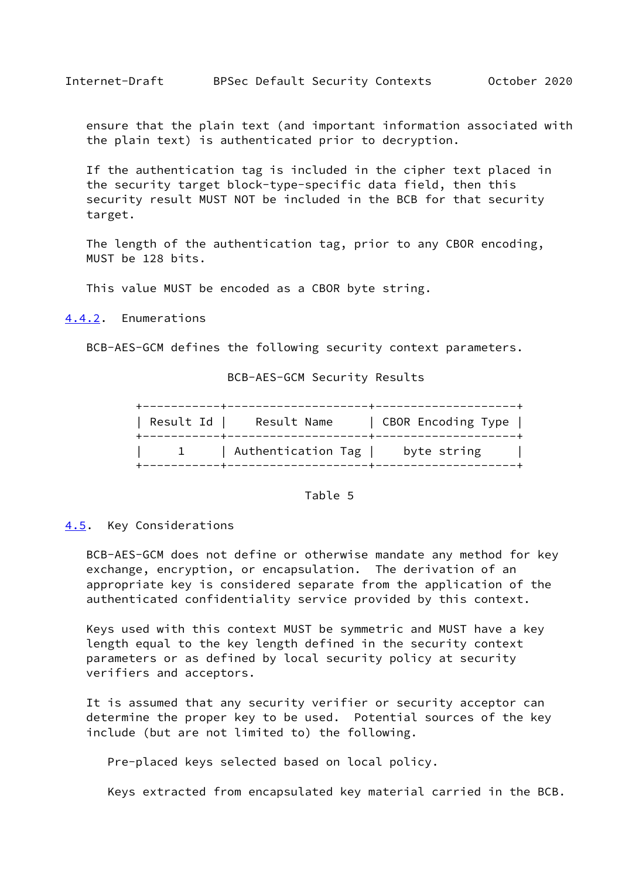<span id="page-17-1"></span> ensure that the plain text (and important information associated with the plain text) is authenticated prior to decryption.

 If the authentication tag is included in the cipher text placed in the security target block-type-specific data field, then this security result MUST NOT be included in the BCB for that security target.

 The length of the authentication tag, prior to any CBOR encoding, MUST be 128 bits.

This value MUST be encoded as a CBOR byte string.

<span id="page-17-0"></span>[4.4.2](#page-17-0). Enumerations

BCB-AES-GCM defines the following security context parameters.

## BCB-AES-GCM Security Results

| Result Id | Result Name        | CBOR Encoding Type |
|-----------|--------------------|--------------------|
|           | Authentication Tag | byte string        |

## Table 5

### <span id="page-17-2"></span>[4.5](#page-17-2). Key Considerations

 BCB-AES-GCM does not define or otherwise mandate any method for key exchange, encryption, or encapsulation. The derivation of an appropriate key is considered separate from the application of the authenticated confidentiality service provided by this context.

 Keys used with this context MUST be symmetric and MUST have a key length equal to the key length defined in the security context parameters or as defined by local security policy at security verifiers and acceptors.

 It is assumed that any security verifier or security acceptor can determine the proper key to be used. Potential sources of the key include (but are not limited to) the following.

Pre-placed keys selected based on local policy.

Keys extracted from encapsulated key material carried in the BCB.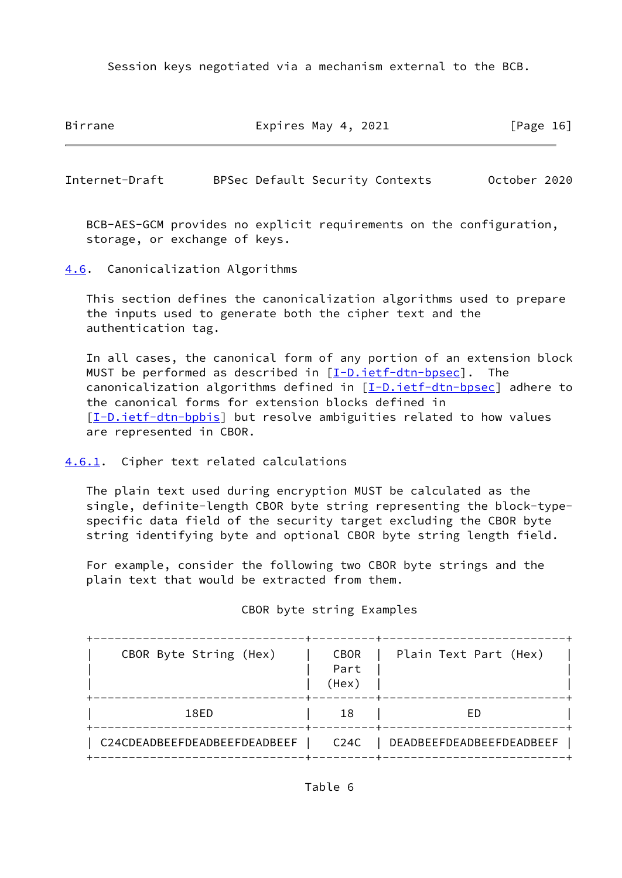Session keys negotiated via a mechanism external to the BCB.

Birrane **Expires May 4, 2021** [Page 16]

<span id="page-18-1"></span>Internet-Draft BPSec Default Security Contexts October 2020

 BCB-AES-GCM provides no explicit requirements on the configuration, storage, or exchange of keys.

<span id="page-18-0"></span>[4.6](#page-18-0). Canonicalization Algorithms

 This section defines the canonicalization algorithms used to prepare the inputs used to generate both the cipher text and the authentication tag.

 In all cases, the canonical form of any portion of an extension block MUST be performed as described in  $[I-D.iett-dtn-bpsec]$ . The canonicalization algorithms defined in  $[I-D.ietf-dtn-bpsec]$  $[I-D.ietf-dtn-bpsec]$  adhere to the canonical forms for extension blocks defined in [\[I-D.ietf-dtn-bpbis\]](#page-23-4) but resolve ambiguities related to how values are represented in CBOR.

<span id="page-18-2"></span>[4.6.1](#page-18-2). Cipher text related calculations

 The plain text used during encryption MUST be calculated as the single, definite-length CBOR byte string representing the block-type specific data field of the security target excluding the CBOR byte string identifying byte and optional CBOR byte string length field.

 For example, consider the following two CBOR byte strings and the plain text that would be extracted from them.

| CBOR Byte String (Hex)       | <b>CBOR</b><br>Part<br>(Hex) | Plain Text Part (Hex)    |
|------------------------------|------------------------------|--------------------------|
| 18ED                         | 18                           | FD.                      |
| C24CDEADBEEFDEADBEEFDEADBEEF | C <sub>24C</sub>             | DEADBEEFDEADBEEFDEADBEEF |

CBOR byte string Examples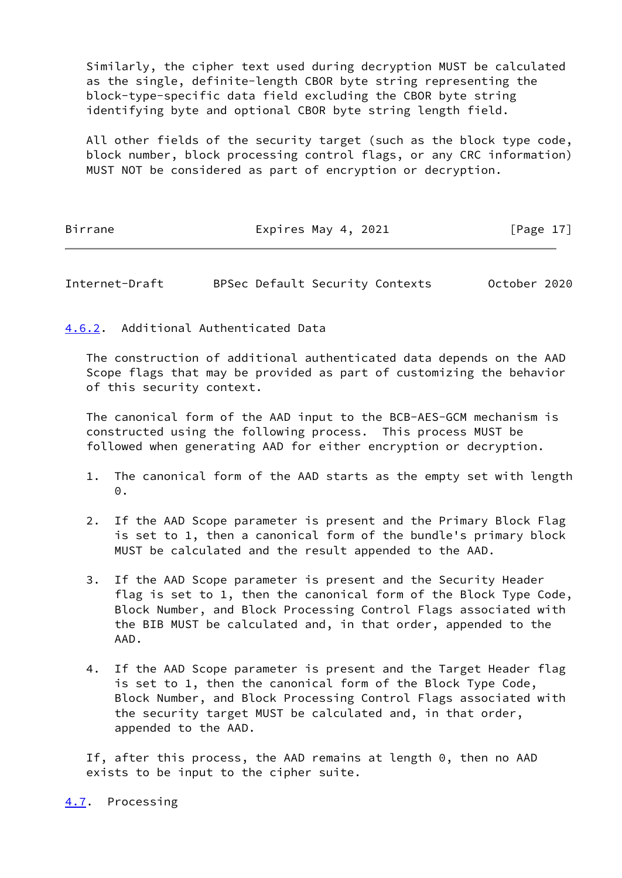Similarly, the cipher text used during decryption MUST be calculated as the single, definite-length CBOR byte string representing the block-type-specific data field excluding the CBOR byte string identifying byte and optional CBOR byte string length field.

 All other fields of the security target (such as the block type code, block number, block processing control flags, or any CRC information) MUST NOT be considered as part of encryption or decryption.

## Birrane Expires May 4, 2021 [Page 17]

<span id="page-19-1"></span>Internet-Draft BPSec Default Security Contexts October 2020

# <span id="page-19-0"></span>[4.6.2](#page-19-0). Additional Authenticated Data

 The construction of additional authenticated data depends on the AAD Scope flags that may be provided as part of customizing the behavior of this security context.

 The canonical form of the AAD input to the BCB-AES-GCM mechanism is constructed using the following process. This process MUST be followed when generating AAD for either encryption or decryption.

- 1. The canonical form of the AAD starts as the empty set with length  $\Theta$ .
- 2. If the AAD Scope parameter is present and the Primary Block Flag is set to 1, then a canonical form of the bundle's primary block MUST be calculated and the result appended to the AAD.
- 3. If the AAD Scope parameter is present and the Security Header flag is set to 1, then the canonical form of the Block Type Code, Block Number, and Block Processing Control Flags associated with the BIB MUST be calculated and, in that order, appended to the AAD.
- 4. If the AAD Scope parameter is present and the Target Header flag is set to 1, then the canonical form of the Block Type Code, Block Number, and Block Processing Control Flags associated with the security target MUST be calculated and, in that order, appended to the AAD.

 If, after this process, the AAD remains at length 0, then no AAD exists to be input to the cipher suite.

<span id="page-19-2"></span>[4.7](#page-19-2). Processing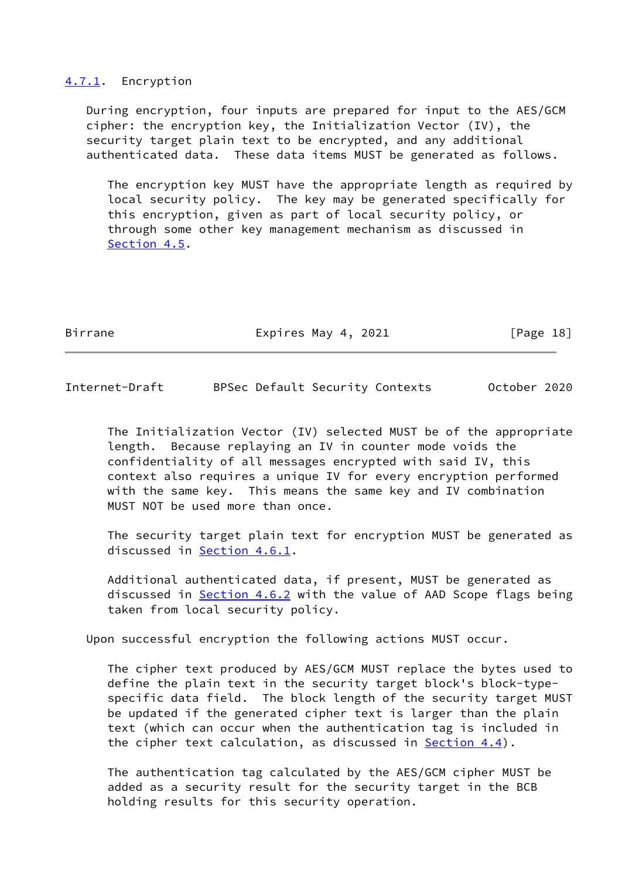#### <span id="page-20-0"></span>[4.7.1](#page-20-0). Encryption

 During encryption, four inputs are prepared for input to the AES/GCM cipher: the encryption key, the Initialization Vector (IV), the security target plain text to be encrypted, and any additional authenticated data. These data items MUST be generated as follows.

 The encryption key MUST have the appropriate length as required by local security policy. The key may be generated specifically for this encryption, given as part of local security policy, or through some other key management mechanism as discussed in [Section 4.5](#page-17-2).

Birrane Expires May 4, 2021 [Page 18]

Internet-Draft BPSec Default Security Contexts October 2020

 The Initialization Vector (IV) selected MUST be of the appropriate length. Because replaying an IV in counter mode voids the confidentiality of all messages encrypted with said IV, this context also requires a unique IV for every encryption performed with the same key. This means the same key and IV combination MUST NOT be used more than once.

 The security target plain text for encryption MUST be generated as discussed in [Section 4.6.1](#page-18-2).

 Additional authenticated data, if present, MUST be generated as discussed in [Section 4.6.2](#page-19-0) with the value of AAD Scope flags being taken from local security policy.

Upon successful encryption the following actions MUST occur.

 The cipher text produced by AES/GCM MUST replace the bytes used to define the plain text in the security target block's block-type specific data field. The block length of the security target MUST be updated if the generated cipher text is larger than the plain text (which can occur when the authentication tag is included in the cipher text calculation, as discussed in [Section 4.4](#page-16-0)).

 The authentication tag calculated by the AES/GCM cipher MUST be added as a security result for the security target in the BCB holding results for this security operation.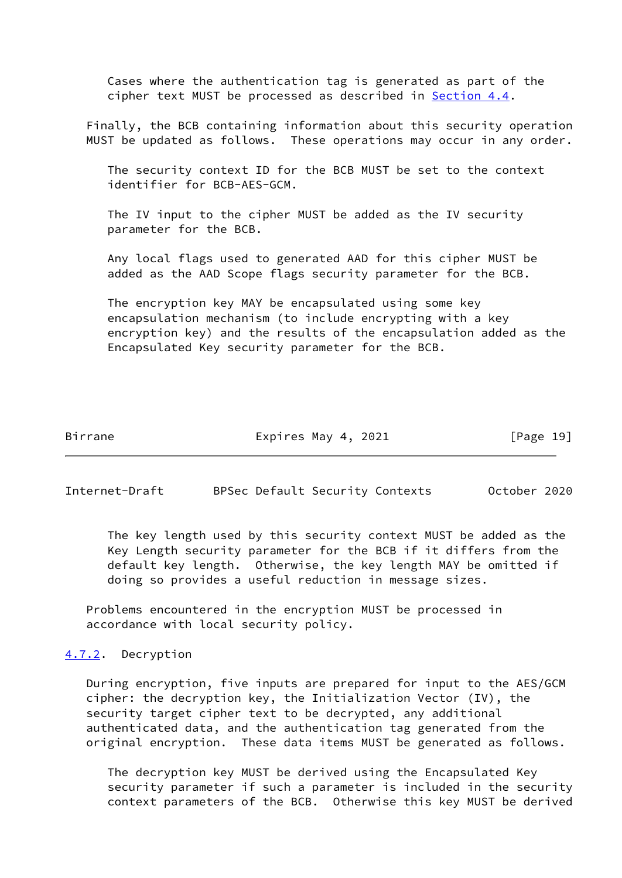Cases where the authentication tag is generated as part of the cipher text MUST be processed as described in [Section 4.4](#page-16-0).

 Finally, the BCB containing information about this security operation MUST be updated as follows. These operations may occur in any order.

 The security context ID for the BCB MUST be set to the context identifier for BCB-AES-GCM.

 The IV input to the cipher MUST be added as the IV security parameter for the BCB.

 Any local flags used to generated AAD for this cipher MUST be added as the AAD Scope flags security parameter for the BCB.

 The encryption key MAY be encapsulated using some key encapsulation mechanism (to include encrypting with a key encryption key) and the results of the encapsulation added as the Encapsulated Key security parameter for the BCB.

Birrane Expires May 4, 2021 [Page 19]

<span id="page-21-1"></span>Internet-Draft BPSec Default Security Contexts October 2020

 The key length used by this security context MUST be added as the Key Length security parameter for the BCB if it differs from the default key length. Otherwise, the key length MAY be omitted if doing so provides a useful reduction in message sizes.

 Problems encountered in the encryption MUST be processed in accordance with local security policy.

<span id="page-21-0"></span>[4.7.2](#page-21-0). Decryption

 During encryption, five inputs are prepared for input to the AES/GCM cipher: the decryption key, the Initialization Vector (IV), the security target cipher text to be decrypted, any additional authenticated data, and the authentication tag generated from the original encryption. These data items MUST be generated as follows.

 The decryption key MUST be derived using the Encapsulated Key security parameter if such a parameter is included in the security context parameters of the BCB. Otherwise this key MUST be derived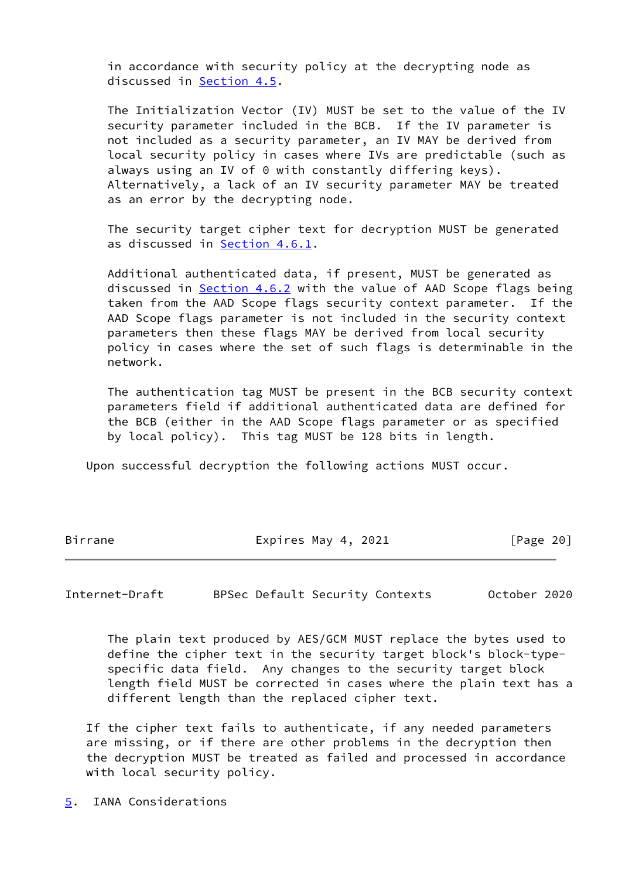in accordance with security policy at the decrypting node as discussed in [Section 4.5](#page-17-2).

 The Initialization Vector (IV) MUST be set to the value of the IV security parameter included in the BCB. If the IV parameter is not included as a security parameter, an IV MAY be derived from local security policy in cases where IVs are predictable (such as always using an IV of 0 with constantly differing keys). Alternatively, a lack of an IV security parameter MAY be treated as an error by the decrypting node.

 The security target cipher text for decryption MUST be generated as discussed in [Section 4.6.1.](#page-18-2)

 Additional authenticated data, if present, MUST be generated as discussed in [Section 4.6.2](#page-19-0) with the value of AAD Scope flags being taken from the AAD Scope flags security context parameter. If the AAD Scope flags parameter is not included in the security context parameters then these flags MAY be derived from local security policy in cases where the set of such flags is determinable in the network.

 The authentication tag MUST be present in the BCB security context parameters field if additional authenticated data are defined for the BCB (either in the AAD Scope flags parameter or as specified by local policy). This tag MUST be 128 bits in length.

Upon successful decryption the following actions MUST occur.

Birrane **Expires May 4, 2021** [Page 20]

<span id="page-22-1"></span>Internet-Draft BPSec Default Security Contexts October 2020

 The plain text produced by AES/GCM MUST replace the bytes used to define the cipher text in the security target block's block-type specific data field. Any changes to the security target block length field MUST be corrected in cases where the plain text has a different length than the replaced cipher text.

 If the cipher text fails to authenticate, if any needed parameters are missing, or if there are other problems in the decryption then the decryption MUST be treated as failed and processed in accordance with local security policy.

<span id="page-22-0"></span>[5](#page-22-0). IANA Considerations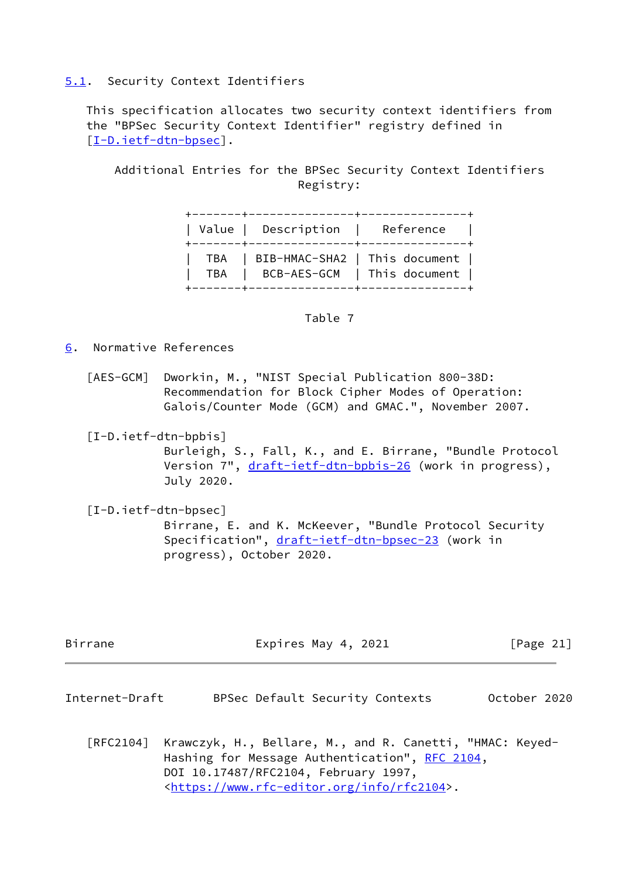## <span id="page-23-0"></span>[5.1](#page-23-0). Security Context Identifiers

 This specification allocates two security context identifiers from the "BPSec Security Context Identifier" registry defined in [\[I-D.ietf-dtn-bpsec\]](#page-23-3).

 Additional Entries for the BPSec Security Context Identifiers Registry:

|  | Value   Description   Reference                                            |  |
|--|----------------------------------------------------------------------------|--|
|  | TBA   BIB-HMAC-SHA2   This document  <br>TBA   BCB-AES-GCM   This document |  |

### Table 7

<span id="page-23-1"></span>[6](#page-23-1). Normative References

- <span id="page-23-5"></span> [AES-GCM] Dworkin, M., "NIST Special Publication 800-38D: Recommendation for Block Cipher Modes of Operation: Galois/Counter Mode (GCM) and GMAC.", November 2007.
- <span id="page-23-4"></span> [I-D.ietf-dtn-bpbis] Burleigh, S., Fall, K., and E. Birrane, "Bundle Protocol Version 7", [draft-ietf-dtn-bpbis-26](https://datatracker.ietf.org/doc/pdf/draft-ietf-dtn-bpbis-26) (work in progress), July 2020.
- <span id="page-23-3"></span> [I-D.ietf-dtn-bpsec] Birrane, E. and K. McKeever, "Bundle Protocol Security Specification", [draft-ietf-dtn-bpsec-23](https://datatracker.ietf.org/doc/pdf/draft-ietf-dtn-bpsec-23) (work in progress), October 2020.

| Birrane | Expires May 4, 2021 | [Page 21] |
|---------|---------------------|-----------|
|         |                     |           |

- <span id="page-23-2"></span>Internet-Draft BPSec Default Security Contexts October 2020
	- [RFC2104] Krawczyk, H., Bellare, M., and R. Canetti, "HMAC: Keyed- Hashing for Message Authentication", [RFC 2104](https://datatracker.ietf.org/doc/pdf/rfc2104), DOI 10.17487/RFC2104, February 1997, <[https://www.rfc-editor.org/info/rfc2104>](https://www.rfc-editor.org/info/rfc2104).